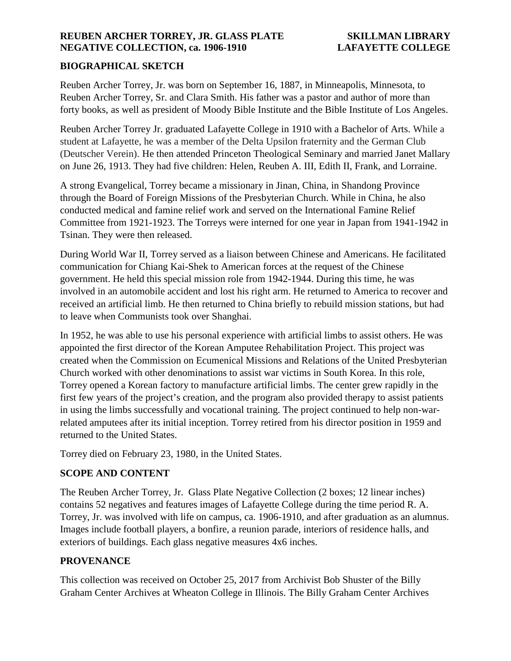# **BIOGRAPHICAL SKETCH**

Reuben Archer Torrey, Jr. was born on September 16, 1887, in Minneapolis, Minnesota, to Reuben Archer Torrey, Sr. and Clara Smith. His father was a pastor and author of more than forty books, as well as president of Moody Bible Institute and the Bible Institute of Los Angeles.

Reuben Archer Torrey Jr. graduated Lafayette College in 1910 with a Bachelor of Arts. While a student at Lafayette, he was a member of the Delta Upsilon fraternity and the German Club (Deutscher Verein). He then attended Princeton Theological Seminary and married Janet Mallary on June 26, 1913. They had five children: Helen, Reuben A. III, Edith II, Frank, and Lorraine.

A strong Evangelical, Torrey became a missionary in Jinan, China, in Shandong Province through the Board of Foreign Missions of the Presbyterian Church. While in China, he also conducted medical and famine relief work and served on the International Famine Relief Committee from 1921-1923. The Torreys were interned for one year in Japan from 1941-1942 in Tsinan. They were then released.

During World War II, Torrey served as a liaison between Chinese and Americans. He facilitated communication for Chiang Kai-Shek to American forces at the request of the Chinese government. He held this special mission role from 1942-1944. During this time, he was involved in an automobile accident and lost his right arm. He returned to America to recover and received an artificial limb. He then returned to China briefly to rebuild mission stations, but had to leave when Communists took over Shanghai.

In 1952, he was able to use his personal experience with artificial limbs to assist others. He was appointed the first director of the Korean Amputee Rehabilitation Project. This project was created when the Commission on Ecumenical Missions and Relations of the United Presbyterian Church worked with other denominations to assist war victims in South Korea. In this role, Torrey opened a Korean factory to manufacture artificial limbs. The center grew rapidly in the first few years of the project's creation, and the program also provided therapy to assist patients in using the limbs successfully and vocational training. The project continued to help non-warrelated amputees after its initial inception. Torrey retired from his director position in 1959 and returned to the United States.

Torrey died on February 23, 1980, in the United States.

# **SCOPE AND CONTENT**

The Reuben Archer Torrey, Jr. Glass Plate Negative Collection (2 boxes; 12 linear inches) contains 52 negatives and features images of Lafayette College during the time period R. A. Torrey, Jr. was involved with life on campus, ca. 1906-1910, and after graduation as an alumnus. Images include football players, a bonfire, a reunion parade, interiors of residence halls, and exteriors of buildings. Each glass negative measures 4x6 inches.

# **PROVENANCE**

This collection was received on October 25, 2017 from Archivist Bob Shuster of the Billy Graham Center Archives at Wheaton College in Illinois. The Billy Graham Center Archives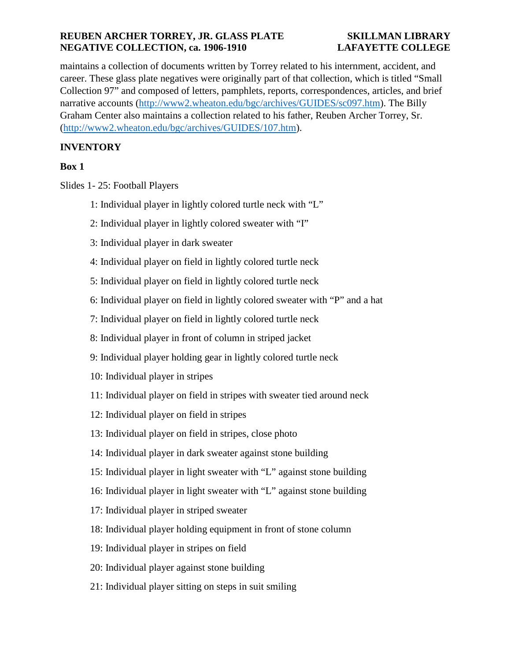maintains a collection of documents written by Torrey related to his internment, accident, and career. These glass plate negatives were originally part of that collection, which is titled "Small Collection 97" and composed of letters, pamphlets, reports, correspondences, articles, and brief narrative accounts [\(http://www2.wheaton.edu/bgc/archives/GUIDES/sc097.htm\)](http://www2.wheaton.edu/bgc/archives/GUIDES/sc097.htm). The Billy Graham Center also maintains a collection related to his father, Reuben Archer Torrey, Sr. [\(http://www2.wheaton.edu/bgc/archives/GUIDES/107.htm\)](http://www2.wheaton.edu/bgc/archives/GUIDES/107.htm).

# **INVENTORY**

# **Box 1**

Slides 1- 25: Football Players

- 1: Individual player in lightly colored turtle neck with "L"
- 2: Individual player in lightly colored sweater with "I"
- 3: Individual player in dark sweater
- 4: Individual player on field in lightly colored turtle neck
- 5: Individual player on field in lightly colored turtle neck
- 6: Individual player on field in lightly colored sweater with "P" and a hat
- 7: Individual player on field in lightly colored turtle neck
- 8: Individual player in front of column in striped jacket
- 9: Individual player holding gear in lightly colored turtle neck
- 10: Individual player in stripes
- 11: Individual player on field in stripes with sweater tied around neck
- 12: Individual player on field in stripes
- 13: Individual player on field in stripes, close photo
- 14: Individual player in dark sweater against stone building
- 15: Individual player in light sweater with "L" against stone building
- 16: Individual player in light sweater with "L" against stone building
- 17: Individual player in striped sweater
- 18: Individual player holding equipment in front of stone column
- 19: Individual player in stripes on field
- 20: Individual player against stone building
- 21: Individual player sitting on steps in suit smiling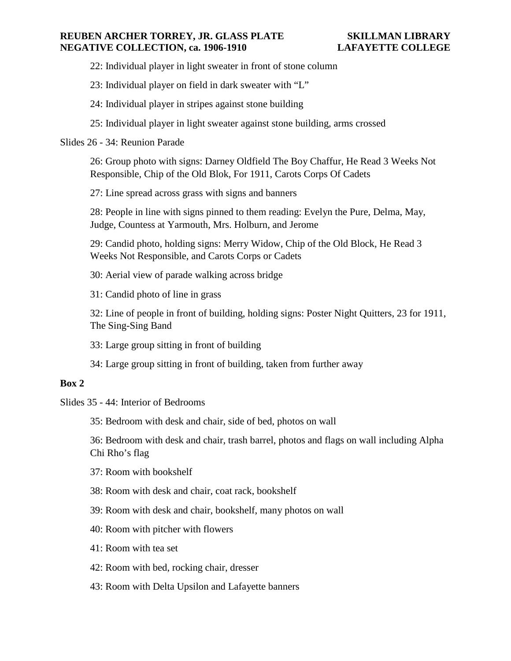- 22: Individual player in light sweater in front of stone column
- 23: Individual player on field in dark sweater with "L"
- 24: Individual player in stripes against stone building
- 25: Individual player in light sweater against stone building, arms crossed
- Slides 26 34: Reunion Parade

26: Group photo with signs: Darney Oldfield The Boy Chaffur, He Read 3 Weeks Not Responsible, Chip of the Old Blok, For 1911, Carots Corps Of Cadets

27: Line spread across grass with signs and banners

28: People in line with signs pinned to them reading: Evelyn the Pure, Delma, May, Judge, Countess at Yarmouth, Mrs. Holburn, and Jerome

29: Candid photo, holding signs: Merry Widow, Chip of the Old Block, He Read 3 Weeks Not Responsible, and Carots Corps or Cadets

30: Aerial view of parade walking across bridge

31: Candid photo of line in grass

32: Line of people in front of building, holding signs: Poster Night Quitters, 23 for 1911, The Sing-Sing Band

- 33: Large group sitting in front of building
- 34: Large group sitting in front of building, taken from further away

## **Box 2**

Slides 35 - 44: Interior of Bedrooms

35: Bedroom with desk and chair, side of bed, photos on wall

36: Bedroom with desk and chair, trash barrel, photos and flags on wall including Alpha Chi Rho's flag

37: Room with bookshelf

38: Room with desk and chair, coat rack, bookshelf

39: Room with desk and chair, bookshelf, many photos on wall

- 40: Room with pitcher with flowers
- 41: Room with tea set
- 42: Room with bed, rocking chair, dresser
- 43: Room with Delta Upsilon and Lafayette banners